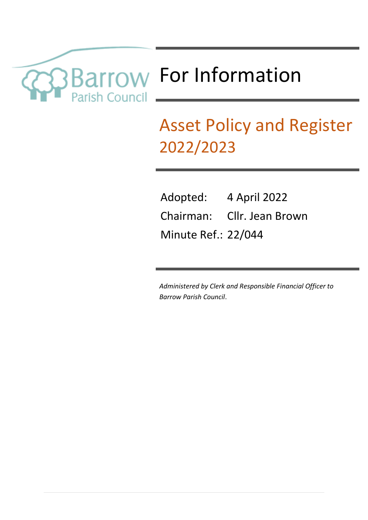

# Asset Policy and Register 2022/2023

| Adopted:                   | 4 April 2022               |
|----------------------------|----------------------------|
|                            | Chairman: Cllr. Jean Brown |
| <b>Minute Ref.: 22/044</b> |                            |

*Administered by Clerk and Responsible Financial Officer to Barrow Parish Council*.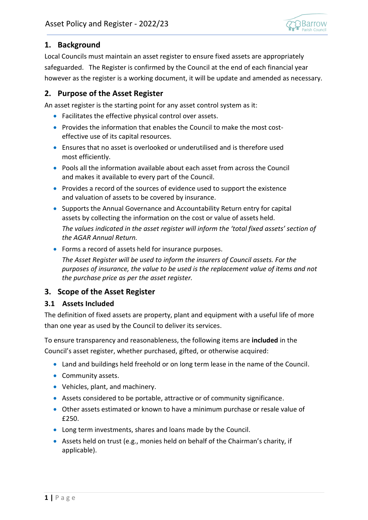

# **1. Background**

Local Councils must maintain an asset register to ensure fixed assets are appropriately safeguarded. The Register is confirmed by the Council at the end of each financial year however as the register is a working document, it will be update and amended as necessary.

# **2. Purpose of the Asset Register**

An asset register is the starting point for any asset control system as it:

- Facilitates the effective physical control over assets.
- Provides the information that enables the Council to make the most costeffective use of its capital resources.
- Ensures that no asset is overlooked or underutilised and is therefore used most efficiently.
- Pools all the information available about each asset from across the Council and makes it available to every part of the Council.
- Provides a record of the sources of evidence used to support the existence and valuation of assets to be covered by insurance.
- Supports the Annual Governance and Accountability Return entry for capital assets by collecting the information on the cost or value of assets held.

*The values indicated in the asset register will inform the 'total fixed assets' section of the AGAR Annual Return.*

• Forms a record of assets held for insurance purposes.

*The Asset Register will be used to inform the insurers of Council assets. For the purposes of insurance, the value to be used is the replacement value of items and not the purchase price as per the asset register.* 

# **3. Scope of the Asset Register**

#### **3.1 Assets Included**

The definition of fixed assets are property, plant and equipment with a useful life of more than one year as used by the Council to deliver its services.

To ensure transparency and reasonableness, the following items are **included** in the Council's asset register, whether purchased, gifted, or otherwise acquired:

- Land and buildings held freehold or on long term lease in the name of the Council.
- Community assets.
- Vehicles, plant, and machinery.
- Assets considered to be portable, attractive or of community significance.
- Other assets estimated or known to have a minimum purchase or resale value of £250.
- Long term investments, shares and loans made by the Council.
- Assets held on trust (e.g., monies held on behalf of the Chairman's charity, if applicable).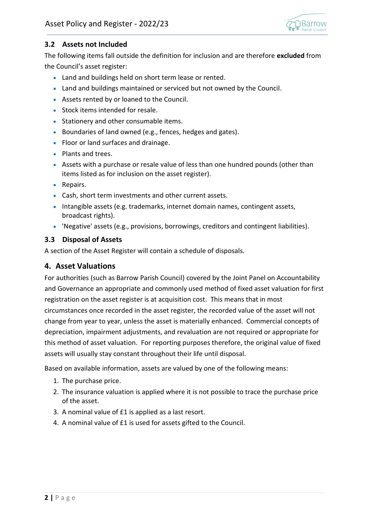

#### **3.2 Assets not Included**

The following items fall outside the definition for inclusion and are therefore **excluded** from the Council's asset register:

- Land and buildings held on short term lease or rented.
- Land and buildings maintained or serviced but not owned by the Council.
- Assets rented by or loaned to the Council.
- Stock items intended for resale.
- Stationery and other consumable items.
- Boundaries of land owned (e.g., fences, hedges and gates).
- Floor or land surfaces and drainage.
- Plants and trees.
- Assets with a purchase or resale value of less than one hundred pounds (other than items listed as for inclusion on the asset register).
- Repairs.
- Cash, short term investments and other current assets.
- Intangible assets (e.g. trademarks, internet domain names, contingent assets, broadcast rights).
- 'Negative' assets (e.g., provisions, borrowings, creditors and contingent liabilities).

#### **3.3 Disposal of Assets**

A section of the Asset Register will contain a schedule of disposals.

#### **4. Asset Valuations**

For authorities (such as Barrow Parish Council) covered by the Joint Panel on Accountability and Governance an appropriate and commonly used method of fixed asset valuation for first registration on the asset register is at acquisition cost. This means that in most circumstances once recorded in the asset register, the recorded value of the asset will not change from year to year, unless the asset is materially enhanced. Commercial concepts of depreciation, impairment adjustments, and revaluation are not required or appropriate for this method of asset valuation. For reporting purposes therefore, the original value of fixed assets will usually stay constant throughout their life until disposal.

Based on available information, assets are valued by one of the following means:

- 1. The purchase price.
- 2. The insurance valuation is applied where it is not possible to trace the purchase price of the asset.
- 3. A nominal value of £1 is applied as a last resort.
- 4. A nominal value of £1 is used for assets gifted to the Council.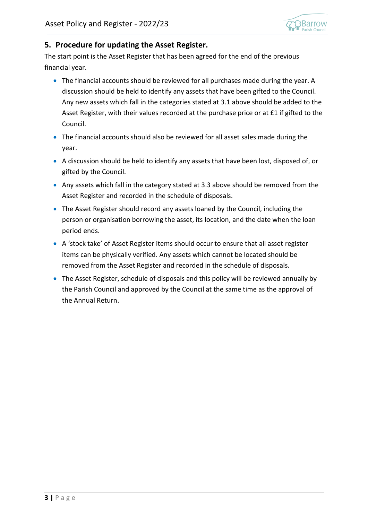

#### **5. Procedure for updating the Asset Register.**

The start point is the Asset Register that has been agreed for the end of the previous financial year.

- The financial accounts should be reviewed for all purchases made during the year. A discussion should be held to identify any assets that have been gifted to the Council. Any new assets which fall in the categories stated at 3.1 above should be added to the Asset Register, with their values recorded at the purchase price or at £1 if gifted to the Council.
- The financial accounts should also be reviewed for all asset sales made during the year.
- A discussion should be held to identify any assets that have been lost, disposed of, or gifted by the Council.
- Any assets which fall in the category stated at 3.3 above should be removed from the Asset Register and recorded in the schedule of disposals.
- The Asset Register should record any assets loaned by the Council, including the person or organisation borrowing the asset, its location, and the date when the loan period ends.
- A 'stock take' of Asset Register items should occur to ensure that all asset register items can be physically verified. Any assets which cannot be located should be removed from the Asset Register and recorded in the schedule of disposals.
- The Asset Register, schedule of disposals and this policy will be reviewed annually by the Parish Council and approved by the Council at the same time as the approval of the Annual Return.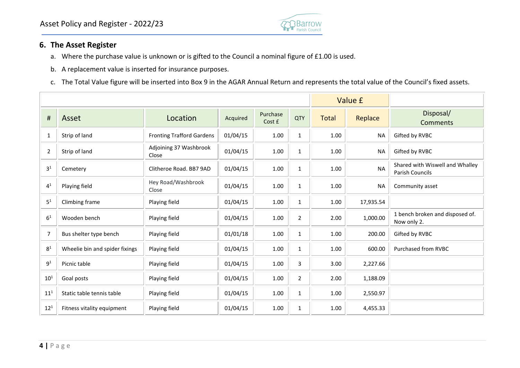

### **6. The Asset Register**

- a. Where the purchase value is unknown or is gifted to the Council a nominal figure of £1.00 is used.
- b. A replacement value is inserted for insurance purposes.
- c. The Total Value figure will be inserted into Box 9 in the AGAR Annual Return and represents the total value of the Council's fixed assets.

|                            |                                |                                  |          |                    |                | Value £      |           |                                                           |
|----------------------------|--------------------------------|----------------------------------|----------|--------------------|----------------|--------------|-----------|-----------------------------------------------------------|
| $\sharp$                   | Asset                          | Location                         | Acquired | Purchase<br>Cost £ | <b>QTY</b>     | <b>Total</b> | Replace   | Disposal/<br>Comments                                     |
| 1                          | Strip of land                  | <b>Fronting Trafford Gardens</b> | 01/04/15 | 1.00               | $\mathbf{1}$   | 1.00         | <b>NA</b> | Gifted by RVBC                                            |
| 2                          | Strip of land                  | Adjoining 37 Washbrook<br>Close  | 01/04/15 | 1.00               | $\mathbf{1}$   | 1.00         | <b>NA</b> | Gifted by RVBC                                            |
| 3 <sup>1</sup>             | Cemetery                       | Clitheroe Road. BB7 9AD          | 01/04/15 | 1.00               | $\mathbf{1}$   | 1.00         | <b>NA</b> | Shared with Wiswell and Whalley<br><b>Parish Councils</b> |
| $4^1$                      | Playing field                  | Hey Road/Washbrook<br>Close      | 01/04/15 | 1.00               | $\mathbf{1}$   | 1.00         | <b>NA</b> | Community asset                                           |
| 5 <sup>1</sup>             | Climbing frame                 | Playing field                    | 01/04/15 | 1.00               | $\mathbf{1}$   | 1.00         | 17,935.54 |                                                           |
| 6 <sup>1</sup>             | Wooden bench                   | Playing field                    | 01/04/15 | 1.00               | $\overline{2}$ | 2.00         | 1,000.00  | 1 bench broken and disposed of.<br>Now only 2.            |
| 7                          | Bus shelter type bench         | Playing field                    | 01/01/18 | 1.00               | $\mathbf{1}$   | 1.00         | 200.00    | Gifted by RVBC                                            |
| 8 <sup>1</sup>             | Wheelie bin and spider fixings | Playing field                    | 01/04/15 | 1.00               | $\mathbf{1}$   | 1.00         | 600.00    | Purchased from RVBC                                       |
| $9^1$                      | Picnic table                   | Playing field                    | 01/04/15 | 1.00               | 3              | 3.00         | 2,227.66  |                                                           |
| $10^1$                     | Goal posts                     | Playing field                    | 01/04/15 | 1.00               | $\overline{2}$ | 2.00         | 1,188.09  |                                                           |
| $\mathbf{11}^{\mathbf{1}}$ | Static table tennis table      | Playing field                    | 01/04/15 | 1.00               | $\mathbf{1}$   | 1.00         | 2,550.97  |                                                           |
| $12^{1}$                   | Fitness vitality equipment     | Playing field                    | 01/04/15 | 1.00               | $\mathbf{1}$   | 1.00         | 4,455.33  |                                                           |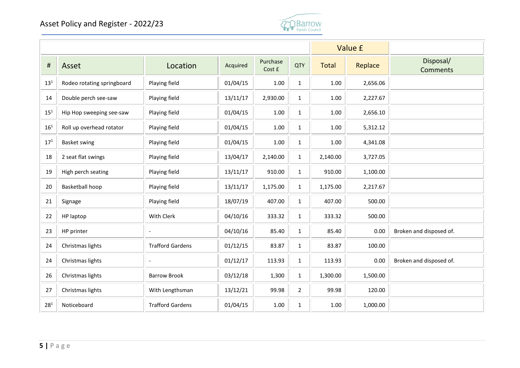

|                 |                            |                         |          |                    |                | Value £      |          |                              |
|-----------------|----------------------------|-------------------------|----------|--------------------|----------------|--------------|----------|------------------------------|
| $\sharp$        | Asset                      | Location                | Acquired | Purchase<br>Cost £ | <b>QTY</b>     | <b>Total</b> | Replace  | Disposal/<br><b>Comments</b> |
| $13^{1}$        | Rodeo rotating springboard | Playing field           | 01/04/15 | 1.00               | $\mathbf{1}$   | 1.00         | 2,656.06 |                              |
| 14              | Double perch see-saw       | Playing field           | 13/11/17 | 2,930.00           | $\mathbf{1}$   | 1.00         | 2,227.67 |                              |
| $15^1$          | Hip Hop sweeping see-saw   | Playing field           | 01/04/15 | 1.00               | $\mathbf{1}$   | 1.00         | 2,656.10 |                              |
| 16 <sup>1</sup> | Roll up overhead rotator   | Playing field           | 01/04/15 | 1.00               | $\mathbf{1}$   | 1.00         | 5,312.12 |                              |
| $17^{1}$        | <b>Basket swing</b>        | Playing field           | 01/04/15 | 1.00               | $\mathbf{1}$   | 1.00         | 4,341.08 |                              |
| 18              | 2 seat flat swings         | Playing field           | 13/04/17 | 2,140.00           | $\mathbf{1}$   | 2,140.00     | 3,727.05 |                              |
| 19              | High perch seating         | Playing field           | 13/11/17 | 910.00             | $\mathbf{1}$   | 910.00       | 1,100.00 |                              |
| 20              | Basketball hoop            | Playing field           | 13/11/17 | 1,175.00           | $\mathbf 1$    | 1,175.00     | 2,217.67 |                              |
| 21              | Signage                    | Playing field           | 18/07/19 | 407.00             | $\mathbf{1}$   | 407.00       | 500.00   |                              |
| 22              | HP laptop                  | With Clerk              | 04/10/16 | 333.32             | $\mathbf{1}$   | 333.32       | 500.00   |                              |
| 23              | HP printer                 |                         | 04/10/16 | 85.40              | $\mathbf{1}$   | 85.40        | 0.00     | Broken and disposed of.      |
| 24              | Christmas lights           | <b>Trafford Gardens</b> | 01/12/15 | 83.87              | $\mathbf{1}$   | 83.87        | 100.00   |                              |
| 24              | Christmas lights           | $\overline{a}$          | 01/12/17 | 113.93             | $\mathbf{1}$   | 113.93       | 0.00     | Broken and disposed of.      |
| 26              | Christmas lights           | <b>Barrow Brook</b>     | 03/12/18 | 1,300              | $\mathbf{1}$   | 1,300.00     | 1,500.00 |                              |
| 27              | Christmas lights           | With Lengthsman         | 13/12/21 | 99.98              | $\overline{2}$ | 99.98        | 120.00   |                              |
| $28^{1}$        | Noticeboard                | <b>Trafford Gardens</b> | 01/04/15 | 1.00               | $\mathbf{1}$   | 1.00         | 1,000.00 |                              |